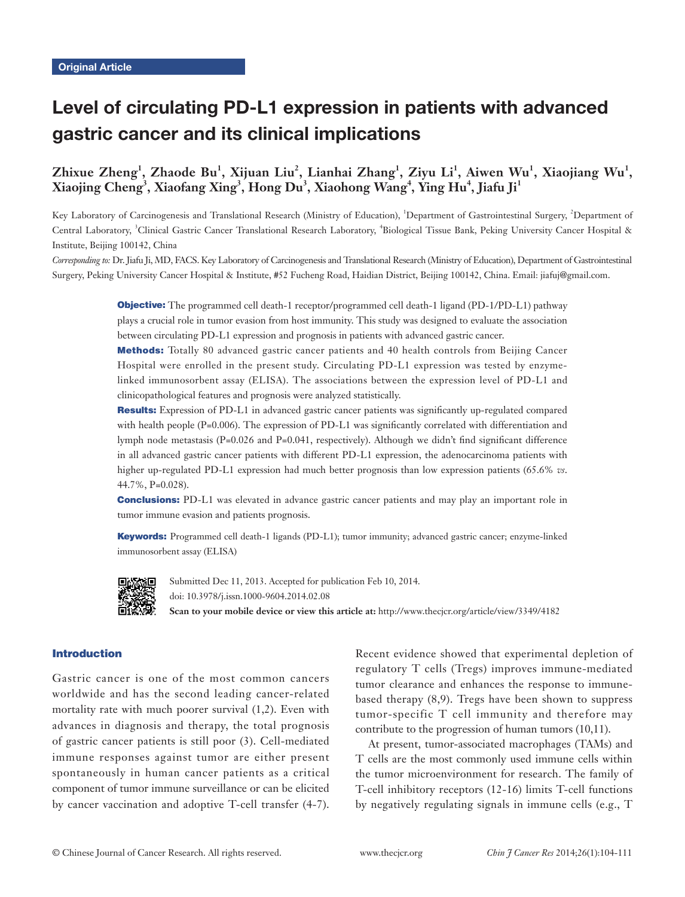# Level of circulating PD-L1 expression in patients with advanced gastric cancer and its clinical implications

## Zhixue Zheng<sup>1</sup>, Zhaode Bu<sup>1</sup>, Xijuan Liu<sup>2</sup>, Lianhai Zhang<sup>1</sup>, Ziyu Li<sup>1</sup>, Aiwen Wu<sup>1</sup>, Xiaojiang Wu<sup>1</sup>,  $\boldsymbol{\mathrm{X}}$ iaojing Cheng<sup>3</sup>, Xiaofang Xing<sup>3</sup>, Hong Du $^3$ , Xiaohong Wang<sup>4</sup>, Ying Hu<sup>4</sup>, Jiafu Ji<sup>1</sup>

Key Laboratory of Carcinogenesis and Translational Research (Ministry of Education), <sup>1</sup>Department of Gastrointestinal Surgery, <sup>2</sup>Department of Central Laboratory, <sup>3</sup>Clinical Gastric Cancer Translational Research Laboratory, <sup>4</sup>Biological Tissue Bank, Peking University Cancer Hospital & Institute, Beijing 100142, China

*Corresponding to:* Dr. Jiafu Ji, MD, FACS. Key Laboratory of Carcinogenesis and Translational Research (Ministry of Education), Department of Gastrointestinal Surgery, Peking University Cancer Hospital & Institute, #52 Fucheng Road, Haidian District, Beijing 100142, China. Email: jiafuj@gmail.com.

> Objective: The programmed cell death-1 receptor/programmed cell death-1 ligand (PD-1/PD-L1) pathway plays a crucial role in tumor evasion from host immunity. This study was designed to evaluate the association between circulating PD-L1 expression and prognosis in patients with advanced gastric cancer.

> Methods: Totally 80 advanced gastric cancer patients and 40 health controls from Beijing Cancer Hospital were enrolled in the present study. Circulating PD-L1 expression was tested by enzymelinked immunosorbent assay (ELISA). The associations between the expression level of PD-L1 and clinicopathological features and prognosis were analyzed statistically.

> Results: Expression of PD-L1 in advanced gastric cancer patients was significantly up-regulated compared with health people (P=0.006). The expression of PD-L1 was significantly correlated with differentiation and lymph node metastasis (P=0.026 and P=0.041, respectively). Although we didn't find significant difference in all advanced gastric cancer patients with different PD-L1 expression, the adenocarcinoma patients with higher up-regulated PD-L1 expression had much better prognosis than low expression patients (65.6% *vs*. 44.7%, P=0.028).

> **Conclusions:** PD-L1 was elevated in advance gastric cancer patients and may play an important role in tumor immune evasion and patients prognosis.

> Keywords: Programmed cell death-1 ligands (PD-L1); tumor immunity; advanced gastric cancer; enzyme-linked immunosorbent assay (ELISA)



Submitted Dec 11, 2013. Accepted for publication Feb 10, 2014. doi: 10.3978/j.issn.1000-9604.2014.02.08 **Scan to your mobile device or view this article at:** http://www.thecjcr.org/article/view/3349/4182

## Introduction

Gastric cancer is one of the most common cancers worldwide and has the second leading cancer-related mortality rate with much poorer survival (1,2). Even with advances in diagnosis and therapy, the total prognosis of gastric cancer patients is still poor (3). Cell-mediated immune responses against tumor are either present spontaneously in human cancer patients as a critical component of tumor immune surveillance or can be elicited by cancer vaccination and adoptive T-cell transfer (4-7).

Recent evidence showed that experimental depletion of regulatory T cells (Tregs) improves immune-mediated tumor clearance and enhances the response to immunebased therapy (8,9). Tregs have been shown to suppress tumor-specific T cell immunity and therefore may contribute to the progression of human tumors (10,11).

At present, tumor-associated macrophages (TAMs) and T cells are the most commonly used immune cells within the tumor microenvironment for research. The family of T-cell inhibitory receptors (12-16) limits T-cell functions by negatively regulating signals in immune cells (e.g., T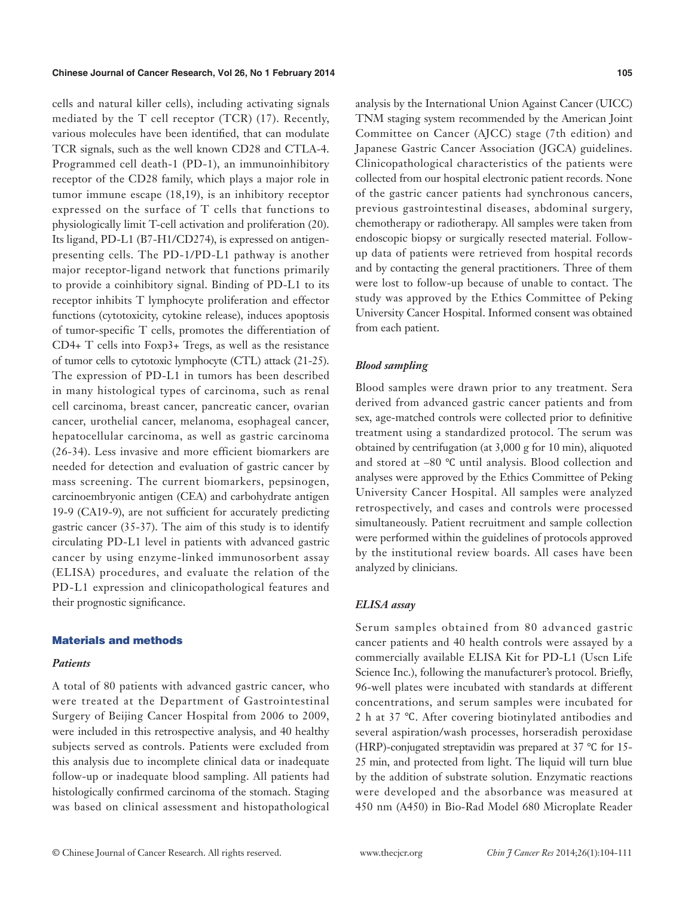#### **Chinese Journal of Cancer Research, Vol 26, No 1 February 2014**

cells and natural killer cells), including activating signals mediated by the T cell receptor (TCR) (17). Recently, various molecules have been identified, that can modulate TCR signals, such as the well known CD28 and CTLA-4. Programmed cell death-1 (PD-1), an immunoinhibitory receptor of the CD28 family, which plays a major role in tumor immune escape (18,19), is an inhibitory receptor expressed on the surface of T cells that functions to physiologically limit T-cell activation and proliferation (20). Its ligand, PD-L1 (B7-H1/CD274), is expressed on antigenpresenting cells. The PD-1/PD-L1 pathway is another major receptor-ligand network that functions primarily to provide a coinhibitory signal. Binding of PD-L1 to its receptor inhibits T lymphocyte proliferation and effector functions (cytotoxicity, cytokine release), induces apoptosis of tumor-specific T cells, promotes the differentiation of CD4+ T cells into Foxp3+ Tregs, as well as the resistance of tumor cells to cytotoxic lymphocyte (CTL) attack (21-25). The expression of PD-L1 in tumors has been described in many histological types of carcinoma, such as renal cell carcinoma, breast cancer, pancreatic cancer, ovarian cancer, urothelial cancer, melanoma, esophageal cancer, hepatocellular carcinoma, as well as gastric carcinoma (26-34). Less invasive and more efficient biomarkers are needed for detection and evaluation of gastric cancer by mass screening. The current biomarkers, pepsinogen, carcinoembryonic antigen (CEA) and carbohydrate antigen 19-9 (CA19-9), are not sufficient for accurately predicting gastric cancer (35-37). The aim of this study is to identify circulating PD-L1 level in patients with advanced gastric cancer by using enzyme-linked immunosorbent assay (ELISA) procedures, and evaluate the relation of the PD-L1 expression and clinicopathological features and their prognostic significance.

#### Materials and methods

#### *Patients*

A total of 80 patients with advanced gastric cancer, who were treated at the Department of Gastrointestinal Surgery of Beijing Cancer Hospital from 2006 to 2009, were included in this retrospective analysis, and 40 healthy subjects served as controls. Patients were excluded from this analysis due to incomplete clinical data or inadequate follow-up or inadequate blood sampling. All patients had histologically confirmed carcinoma of the stomach. Staging was based on clinical assessment and histopathological analysis by the International Union Against Cancer (UICC) TNM staging system recommended by the American Joint Committee on Cancer (AJCC) stage (7th edition) and Japanese Gastric Cancer Association (JGCA) guidelines. Clinicopathological characteristics of the patients were collected from our hospital electronic patient records. None of the gastric cancer patients had synchronous cancers, previous gastrointestinal diseases, abdominal surgery, chemotherapy or radiotherapy. All samples were taken from endoscopic biopsy or surgically resected material. Followup data of patients were retrieved from hospital records and by contacting the general practitioners. Three of them were lost to follow-up because of unable to contact. The study was approved by the Ethics Committee of Peking University Cancer Hospital. Informed consent was obtained from each patient.

## *Blood sampling*

Blood samples were drawn prior to any treatment. Sera derived from advanced gastric cancer patients and from sex, age-matched controls were collected prior to definitive treatment using a standardized protocol. The serum was obtained by centrifugation (at 3,000 g for 10 min), aliquoted and stored at –80 ℃ until analysis. Blood collection and analyses were approved by the Ethics Committee of Peking University Cancer Hospital. All samples were analyzed retrospectively, and cases and controls were processed simultaneously. Patient recruitment and sample collection were performed within the guidelines of protocols approved by the institutional review boards. All cases have been analyzed by clinicians.

#### *ELISA assay*

Serum samples obtained from 80 advanced gastric cancer patients and 40 health controls were assayed by a commercially available ELISA Kit for PD-L1 (Uscn Life Science Inc.), following the manufacturer's protocol. Briefly, 96-well plates were incubated with standards at different concentrations, and serum samples were incubated for 2 h at 37 ℃. After covering biotinylated antibodies and several aspiration/wash processes, horseradish peroxidase (HRP)-conjugated streptavidin was prepared at 37 ℃ for 15- 25 min, and protected from light. The liquid will turn blue by the addition of substrate solution. Enzymatic reactions were developed and the absorbance was measured at 450 nm (A450) in Bio-Rad Model 680 Microplate Reader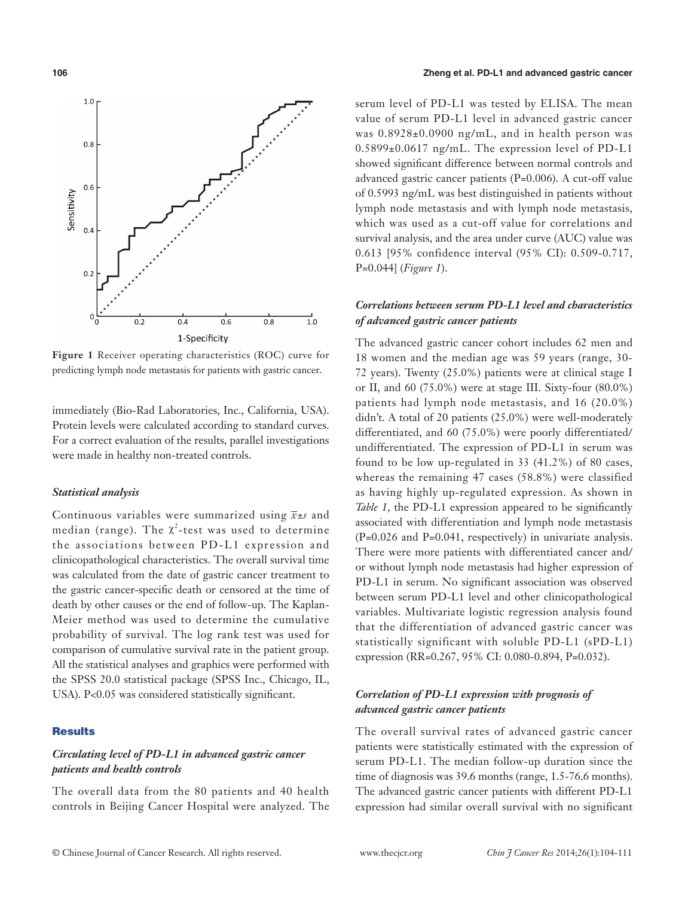

**Figure 1** Receiver operating characteristics (ROC) curve for predicting lymph node metastasis for patients with gastric cancer.

immediately (Bio-Rad Laboratories, Inc., California, USA). Protein levels were calculated according to standard curves. For a correct evaluation of the results, parallel investigations were made in healthy non-treated controls.

## *Statistical analysis*

Continuous variables were summarized using *x±s* and median (range). The  $\chi^2$ -test was used to determine the associations between PD-L1 expression and clinicopathological characteristics. The overall survival time was calculated from the date of gastric cancer treatment to the gastric cancer-specific death or censored at the time of death by other causes or the end of follow-up. The Kaplan-Meier method was used to determine the cumulative probability of survival. The log rank test was used for comparison of cumulative survival rate in the patient group. All the statistical analyses and graphics were performed with the SPSS 20.0 statistical package (SPSS Inc., Chicago, IL, USA). P<0.05 was considered statistically significant.

#### **Results**

## *Circulating level of PD-L1 in advanced gastric cancer patients and health controls*

The overall data from the 80 patients and 40 health controls in Beijing Cancer Hospital were analyzed. The serum level of PD-L1 was tested by ELISA. The mean value of serum PD-L1 level in advanced gastric cancer was 0.8928±0.0900 ng/mL, and in health person was 0.5899±0.0617 ng/mL. The expression level of PD-L1 showed significant difference between normal controls and advanced gastric cancer patients (P=0.006). A cut-off value of 0.5993 ng/mL was best distinguished in patients without lymph node metastasis and with lymph node metastasis, which was used as a cut-off value for correlations and survival analysis, and the area under curve (AUC) value was 0.613 [95% confidence interval (95% CI): 0.509-0.717, P=0.044] (*Figure 1*).

## *Correlations between serum PD-L1 level and characteristics of advanced gastric cancer patients*

The advanced gastric cancer cohort includes 62 men and 18 women and the median age was 59 years (range, 30- 72 years). Twenty (25.0%) patients were at clinical stage I or II, and 60 (75.0%) were at stage III. Sixty-four (80.0%) patients had lymph node metastasis, and 16 (20.0%) didn't. A total of 20 patients (25.0%) were well-moderately differentiated, and 60 (75.0%) were poorly differentiated/ undifferentiated. The expression of PD-L1 in serum was found to be low up-regulated in 33 (41.2%) of 80 cases, whereas the remaining 47 cases (58.8%) were classified as having highly up-regulated expression. As shown in *Table 1*, the PD-L1 expression appeared to be significantly associated with differentiation and lymph node metastasis (P=0.026 and P=0.041, respectively) in univariate analysis. There were more patients with differentiated cancer and/ or without lymph node metastasis had higher expression of PD-L1 in serum. No significant association was observed between serum PD-L1 level and other clinicopathological variables. Multivariate logistic regression analysis found that the differentiation of advanced gastric cancer was statistically significant with soluble PD-L1 (sPD-L1) expression (RR=0.267, 95% CI: 0.080-0.894, P=0.032).

## *Correlation of PD-L1 expression with prognosis of advanced gastric cancer patients*

The overall survival rates of advanced gastric cancer patients were statistically estimated with the expression of serum PD-L1. The median follow-up duration since the time of diagnosis was 39.6 months (range, 1.5-76.6 months). The advanced gastric cancer patients with different PD-L1 expression had similar overall survival with no significant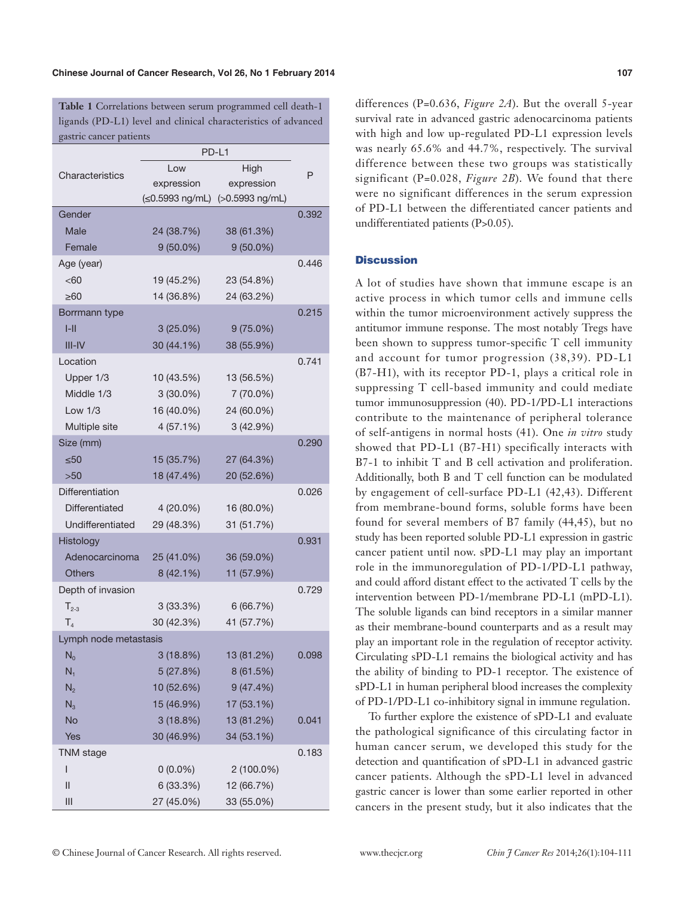**Table 1** Correlations between serum programmed cell death-1 ligands (PD-L1) level and clinical characteristics of advanced gastric cancer patients

|                       | PD-L1                         |                   |       |
|-----------------------|-------------------------------|-------------------|-------|
| Characteristics       | Low                           | High              | P     |
|                       | expression                    | expression        |       |
|                       | $(\leq 0.5993 \text{ ng/mL})$ | $(>0.5993$ ng/mL) |       |
| Gender                |                               |                   | 0.392 |
| Male                  | 24 (38.7%)                    | 38 (61.3%)        |       |
| Female                | $9(50.0\%)$                   | $9(50.0\%)$       |       |
| Age (year)            |                               |                   | 0.446 |
| <60                   | 19 (45.2%)                    | 23 (54.8%)        |       |
| $\geq 60$             | 14 (36.8%)                    | 24 (63.2%)        |       |
| Borrmann type         |                               |                   | 0.215 |
| $I-II$                | $3(25.0\%)$                   | $9(75.0\%)$       |       |
| $III - IV$            | 30 (44.1%)                    | 38 (55.9%)        |       |
| Location              |                               |                   | 0.741 |
| Upper 1/3             | 10 (43.5%)                    | 13 (56.5%)        |       |
| Middle 1/3            | $3(30.0\%)$                   | 7 (70.0%)         |       |
| Low $1/3$             | 16 (40.0%)                    | 24 (60.0%)        |       |
| Multiple site         | 4(57.1%)                      | 3(42.9%)          |       |
| Size (mm)             |                               |                   | 0.290 |
| $\leq 50$             | 15 (35.7%)                    | 27 (64.3%)        |       |
| >50                   | 18 (47.4%)                    | 20 (52.6%)        |       |
| Differentiation       |                               |                   | 0.026 |
| Differentiated        | 4 (20.0%)                     | 16 (80.0%)        |       |
| Undifferentiated      | 29 (48.3%)                    | 31 (51.7%)        |       |
| Histology             |                               |                   | 0.931 |
| Adenocarcinoma        | 25 (41.0%)                    | 36 (59.0%)        |       |
| <b>Others</b>         | 8(42.1%)                      | 11 (57.9%)        |       |
| Depth of invasion     |                               |                   | 0.729 |
| $T_{2-3}$             | 3(33.3%)                      | 6(66.7%)          |       |
| T <sub>4</sub>        | 30 (42.3%)                    | 41 (57.7%)        |       |
| Lymph node metastasis |                               |                   |       |
| $\overline{N}_0$      | 3(18.8%)                      | 13 (81.2%)        | 0.098 |
| $N_1$                 | 5(27.8%)                      | 8(61.5%)          |       |
| N <sub>2</sub>        | 10 (52.6%)                    | 9(47.4%)          |       |
| $N_3$                 | 15 (46.9%)                    | 17 (53.1%)        |       |
| <b>No</b>             | 3(18.8%)                      | 13 (81.2%)        | 0.041 |
| <b>Yes</b>            | 30 (46.9%)                    | 34 (53.1%)        |       |
| <b>TNM</b> stage      |                               |                   | 0.183 |
| $\mathsf{I}$          | $0(0.0\%)$                    | 2 (100.0%)        |       |
| $\mathsf{II}$         | 6 (33.3%)                     | 12 (66.7%)        |       |
| III                   | 27 (45.0%)                    | 33 (55.0%)        |       |

differences (P=0.636, *Figure 2A*). But the overall 5-year survival rate in advanced gastric adenocarcinoma patients with high and low up-regulated PD-L1 expression levels was nearly 65.6% and 44.7%, respectively. The survival difference between these two groups was statistically significant (P=0.028, *Figure 2B*). We found that there were no significant differences in the serum expression of PD-L1 between the differentiated cancer patients and undifferentiated patients (P>0.05).

#### **Discussion**

A lot of studies have shown that immune escape is an active process in which tumor cells and immune cells within the tumor microenvironment actively suppress the antitumor immune response. The most notably Tregs have been shown to suppress tumor-specific T cell immunity and account for tumor progression (38,39). PD-L1 (B7-H1), with its receptor PD-1, plays a critical role in suppressing T cell-based immunity and could mediate tumor immunosuppression (40). PD-1/PD-L1 interactions contribute to the maintenance of peripheral tolerance of self-antigens in normal hosts (41). One *in vitro* study showed that PD-L1 (B7-H1) specifically interacts with B7-1 to inhibit T and B cell activation and proliferation. Additionally, both B and T cell function can be modulated by engagement of cell-surface PD-L1 (42,43). Different from membrane-bound forms, soluble forms have been found for several members of B7 family (44,45), but no study has been reported soluble PD-L1 expression in gastric cancer patient until now. sPD-L1 may play an important role in the immunoregulation of PD-1/PD-L1 pathway, and could afford distant effect to the activated T cells by the intervention between PD-1/membrane PD-L1 (mPD-L1). The soluble ligands can bind receptors in a similar manner as their membrane-bound counterparts and as a result may play an important role in the regulation of receptor activity. Circulating sPD-L1 remains the biological activity and has the ability of binding to PD-1 receptor. The existence of sPD-L1 in human peripheral blood increases the complexity of PD-1/PD-L1 co-inhibitory signal in immune regulation.

To further explore the existence of sPD-L1 and evaluate the pathological significance of this circulating factor in human cancer serum, we developed this study for the detection and quantification of sPD-L1 in advanced gastric cancer patients. Although the sPD-L1 level in advanced gastric cancer is lower than some earlier reported in other cancers in the present study, but it also indicates that the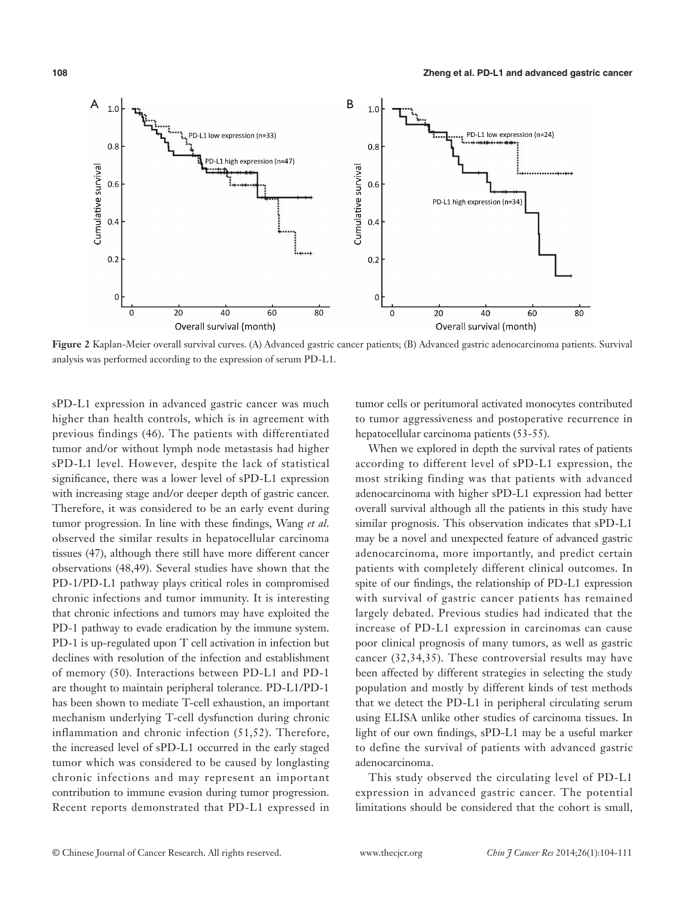

**Figure 2** Kaplan-Meier overall survival curves. (A) Advanced gastric cancer patients; (B) Advanced gastric adenocarcinoma patients. Survival analysis was performed according to the expression of serum PD-L1.

sPD-L1 expression in advanced gastric cancer was much higher than health controls, which is in agreement with previous findings (46). The patients with differentiated tumor and/or without lymph node metastasis had higher sPD-L1 level. However, despite the lack of statistical significance, there was a lower level of sPD-L1 expression with increasing stage and/or deeper depth of gastric cancer. Therefore, it was considered to be an early event during tumor progression. In line with these findings, Wang *et al*. observed the similar results in hepatocellular carcinoma tissues (47), although there still have more different cancer observations (48,49). Several studies have shown that the PD-1/PD-L1 pathway plays critical roles in compromised chronic infections and tumor immunity. It is interesting that chronic infections and tumors may have exploited the PD-1 pathway to evade eradication by the immune system. PD-1 is up-regulated upon T cell activation in infection but declines with resolution of the infection and establishment of memory (50). Interactions between PD-L1 and PD-1 are thought to maintain peripheral tolerance. PD-L1/PD-1 has been shown to mediate T-cell exhaustion, an important mechanism underlying T-cell dysfunction during chronic inflammation and chronic infection (51,52). Therefore, the increased level of sPD-L1 occurred in the early staged tumor which was considered to be caused by longlasting chronic infections and may represent an important contribution to immune evasion during tumor progression. Recent reports demonstrated that PD-L1 expressed in

tumor cells or peritumoral activated monocytes contributed to tumor aggressiveness and postoperative recurrence in hepatocellular carcinoma patients (53-55).

When we explored in depth the survival rates of patients according to different level of sPD-L1 expression, the most striking finding was that patients with advanced adenocarcinoma with higher sPD-L1 expression had better overall survival although all the patients in this study have similar prognosis. This observation indicates that sPD-L1 may be a novel and unexpected feature of advanced gastric adenocarcinoma, more importantly, and predict certain patients with completely different clinical outcomes. In spite of our findings, the relationship of PD-L1 expression with survival of gastric cancer patients has remained largely debated. Previous studies had indicated that the increase of PD-L1 expression in carcinomas can cause poor clinical prognosis of many tumors, as well as gastric cancer (32,34,35). These controversial results may have been affected by different strategies in selecting the study population and mostly by different kinds of test methods that we detect the PD-L1 in peripheral circulating serum using ELISA unlike other studies of carcinoma tissues. In light of our own findings, sPD-L1 may be a useful marker to define the survival of patients with advanced gastric adenocarcinoma.

This study observed the circulating level of PD-L1 expression in advanced gastric cancer. The potential limitations should be considered that the cohort is small,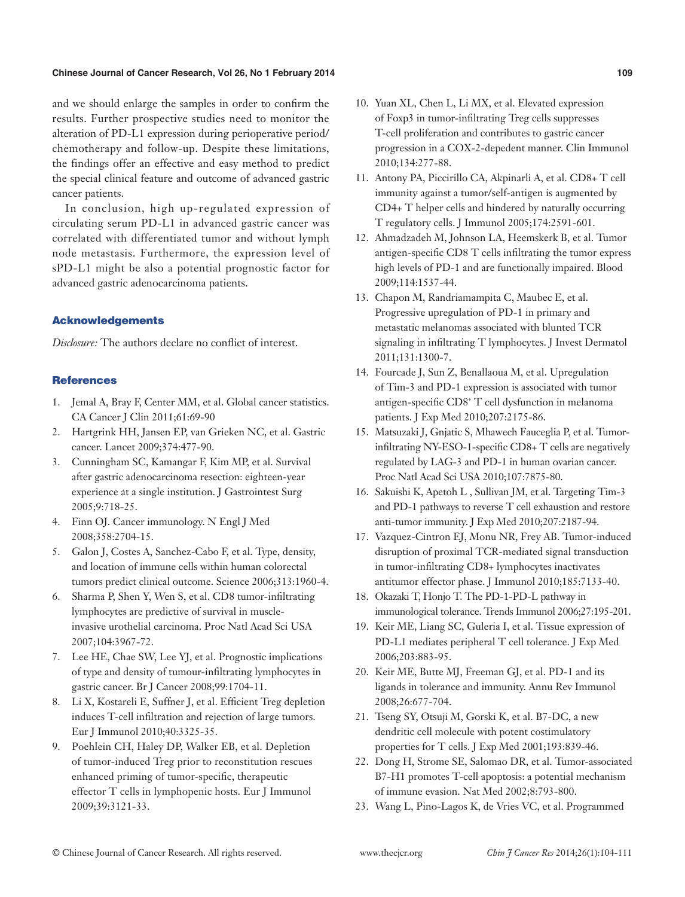#### **Chinese Journal of Cancer Research, Vol 26, No 1 February 2014**

and we should enlarge the samples in order to confirm the results. Further prospective studies need to monitor the alteration of PD-L1 expression during perioperative period/ chemotherapy and follow-up. Despite these limitations, the findings offer an effective and easy method to predict the special clinical feature and outcome of advanced gastric cancer patients.

In conclusion, high up-regulated expression of circulating serum PD-L1 in advanced gastric cancer was correlated with differentiated tumor and without lymph node metastasis. Furthermore, the expression level of sPD-L1 might be also a potential prognostic factor for advanced gastric adenocarcinoma patients.

## Acknowledgements

*Disclosure:* The authors declare no conflict of interest.

## **References**

- 1. Jemal A, Bray F, Center MM, et al. Global cancer statistics. CA Cancer J Clin 2011;61:69-90
- 2. Hartgrink HH, Jansen EP, van Grieken NC, et al. Gastric cancer. Lancet 2009;374:477-90.
- 3. Cunningham SC, Kamangar F, Kim MP, et al. Survival after gastric adenocarcinoma resection: eighteen-year experience at a single institution. J Gastrointest Surg 2005;9:718-25.
- 4. Finn OJ. Cancer immunology. N Engl J Med 2008;358:2704-15.
- 5. Galon J, Costes A, Sanchez-Cabo F, et al. Type, density, and location of immune cells within human colorectal tumors predict clinical outcome. Science 2006;313:1960-4.
- 6. Sharma P, Shen Y, Wen S, et al. CD8 tumor-infiltrating lymphocytes are predictive of survival in muscleinvasive urothelial carcinoma. Proc Natl Acad Sci USA 2007;104:3967-72.
- 7. Lee HE, Chae SW, Lee YJ, et al. Prognostic implications of type and density of tumour-infiltrating lymphocytes in gastric cancer. Br J Cancer 2008;99:1704-11.
- 8. Li X, Kostareli E, Suffner J, et al. Efficient Treg depletion induces T-cell infiltration and rejection of large tumors. Eur J Immunol 2010;40:3325-35.
- 9. Poehlein CH, Haley DP, Walker EB, et al. Depletion of tumor-induced Treg prior to reconstitution rescues enhanced priming of tumor-specific, therapeutic effector T cells in lymphopenic hosts. Eur J Immunol 2009;39:3121-33.

10. Yuan XL, Chen L, Li MX, et al. Elevated expression of Foxp3 in tumor-infiltrating Treg cells suppresses T-cell proliferation and contributes to gastric cancer progression in a COX-2-depedent manner. Clin Immunol 2010;134:277-88.

**109**

- 11. Antony PA, Piccirillo CA, Akpinarli A, et al. CD8+ T cell immunity against a tumor/self-antigen is augmented by CD4+ T helper cells and hindered by naturally occurring T regulatory cells. J Immunol 2005;174:2591-601.
- 12. Ahmadzadeh M, Johnson LA, Heemskerk B, et al. Tumor antigen-specific CD8 T cells infiltrating the tumor express high levels of PD-1 and are functionally impaired. Blood 2009;114:1537-44.
- 13. Chapon M, Randriamampita C, Maubec E, et al. Progressive upregulation of PD-1 in primary and metastatic melanomas associated with blunted TCR signaling in infiltrating T lymphocytes. J Invest Dermatol 2011;131:1300-7.
- 14. Fourcade J, Sun Z, Benallaoua M, et al. Upregulation of Tim-3 and PD-1 expression is associated with tumor antigen-specific CD8<sup>+</sup> T cell dysfunction in melanoma patients. J Exp Med 2010;207:2175-86.
- 15. Matsuzaki J, Gnjatic S, Mhawech Fauceglia P, et al. Tumorinfiltrating NY-ESO-1-specific CD8+ T cells are negatively regulated by LAG-3 and PD-1 in human ovarian cancer. Proc Natl Acad Sci USA 2010;107:7875-80.
- 16. Sakuishi K, Apetoh L , Sullivan JM, et al. Targeting Tim-3 and PD-1 pathways to reverse T cell exhaustion and restore anti-tumor immunity. J Exp Med 2010;207:2187-94.
- 17. Vazquez-Cintron EJ, Monu NR, Frey AB. Tumor-induced disruption of proximal TCR-mediated signal transduction in tumor-infiltrating CD8+ lymphocytes inactivates antitumor effector phase. J Immunol 2010;185:7133-40.
- 18. Okazaki T, Honjo T. The PD-1-PD-L pathway in immunological tolerance. Trends Immunol 2006;27:195-201.
- 19. Keir ME, Liang SC, Guleria I, et al. Tissue expression of PD-L1 mediates peripheral T cell tolerance. J Exp Med 2006;203:883-95.
- 20. Keir ME, Butte MJ, Freeman GJ, et al. PD-1 and its ligands in tolerance and immunity. Annu Rev Immunol 2008;26:677-704.
- 21. Tseng SY, Otsuji M, Gorski K, et al. B7-DC, a new dendritic cell molecule with potent costimulatory properties for T cells. J Exp Med 2001;193:839-46.
- 22. Dong H, Strome SE, Salomao DR, et al. Tumor-associated B7-H1 promotes T-cell apoptosis: a potential mechanism of immune evasion. Nat Med 2002;8:793-800.
- 23. Wang L, Pino-Lagos K, de Vries VC, et al. Programmed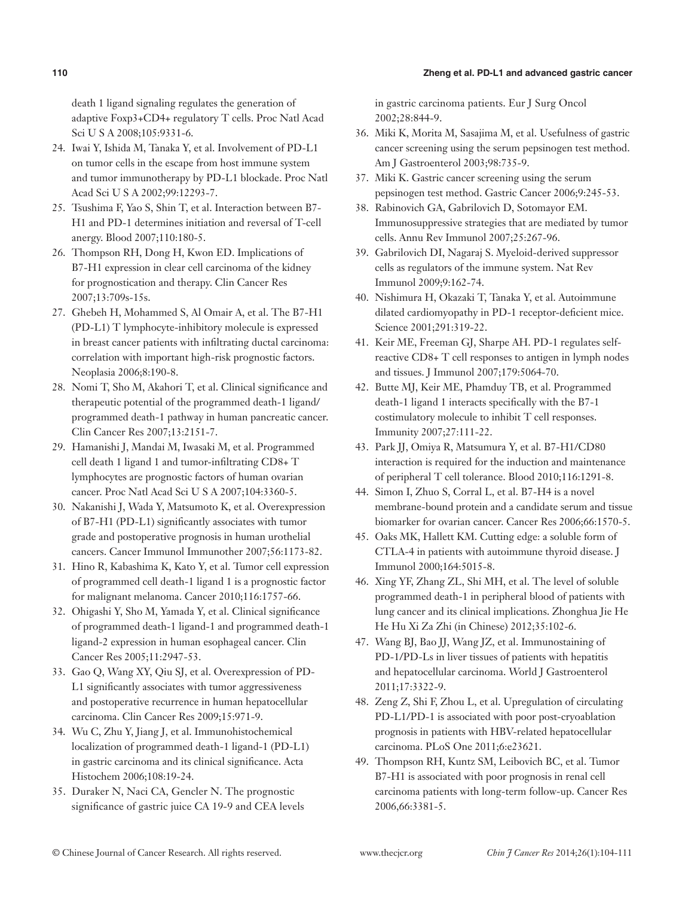#### **Zheng et al. PD-L1 and advanced gastric cancer**

death 1 ligand signaling regulates the generation of adaptive Foxp3+CD4+ regulatory T cells. Proc Natl Acad Sci U S A 2008;105:9331-6.

- 24. Iwai Y, Ishida M, Tanaka Y, et al. Involvement of PD-L1 on tumor cells in the escape from host immune system and tumor immunotherapy by PD-L1 blockade. Proc Natl Acad Sci U S A 2002;99:12293-7.
- 25. Tsushima F, Yao S, Shin T, et al. Interaction between B7- H1 and PD-1 determines initiation and reversal of T-cell anergy. Blood 2007;110:180-5.
- 26. Thompson RH, Dong H, Kwon ED. Implications of B7-H1 expression in clear cell carcinoma of the kidney for prognostication and therapy. Clin Cancer Res 2007;13:709s-15s.
- 27. Ghebeh H, Mohammed S, Al Omair A, et al. The B7-H1 (PD-L1) T lymphocyte-inhibitory molecule is expressed in breast cancer patients with infiltrating ductal carcinoma: correlation with important high-risk prognostic factors. Neoplasia 2006;8:190-8.
- 28. Nomi T, Sho M, Akahori T, et al. Clinical significance and therapeutic potential of the programmed death-1 ligand/ programmed death-1 pathway in human pancreatic cancer. Clin Cancer Res 2007;13:2151-7.
- 29. Hamanishi J, Mandai M, Iwasaki M, et al. Programmed cell death 1 ligand 1 and tumor-infiltrating CD8+ T lymphocytes are prognostic factors of human ovarian cancer. Proc Natl Acad Sci U S A 2007;104:3360-5.
- 30. Nakanishi J, Wada Y, Matsumoto K, et al. Overexpression of B7-H1 (PD-L1) significantly associates with tumor grade and postoperative prognosis in human urothelial cancers. Cancer Immunol Immunother 2007;56:1173-82.
- 31. Hino R, Kabashima K, Kato Y, et al. Tumor cell expression of programmed cell death-1 ligand 1 is a prognostic factor for malignant melanoma. Cancer 2010;116:1757-66.
- 32. Ohigashi Y, Sho M, Yamada Y, et al. Clinical significance of programmed death-1 ligand-1 and programmed death-1 ligand-2 expression in human esophageal cancer. Clin Cancer Res 2005;11:2947-53.
- 33. Gao Q, Wang XY, Qiu SJ, et al. Overexpression of PD-L1 significantly associates with tumor aggressiveness and postoperative recurrence in human hepatocellular carcinoma. Clin Cancer Res 2009;15:971-9.
- 34. Wu C, Zhu Y, Jiang J, et al. Immunohistochemical localization of programmed death-1 ligand-1 (PD-L1) in gastric carcinoma and its clinical significance. Acta Histochem 2006;108:19-24.
- 35. Duraker N, Naci CA, Gencler N. The prognostic significance of gastric juice CA 19-9 and CEA levels

in gastric carcinoma patients. Eur J Surg Oncol 2002;28:844-9.

- 36. Miki K, Morita M, Sasajima M, et al. Usefulness of gastric cancer screening using the serum pepsinogen test method. Am J Gastroenterol 2003;98:735-9.
- 37. Miki K. Gastric cancer screening using the serum pepsinogen test method. Gastric Cancer 2006;9:245-53.
- 38. Rabinovich GA, Gabrilovich D, Sotomayor EM. Immunosuppressive strategies that are mediated by tumor cells. Annu Rev Immunol 2007;25:267-96.
- 39. Gabrilovich DI, Nagaraj S. Myeloid-derived suppressor cells as regulators of the immune system. Nat Rev Immunol 2009;9:162-74.
- 40. Nishimura H, Okazaki T, Tanaka Y, et al. Autoimmune dilated cardiomyopathy in PD-1 receptor-deficient mice. Science 2001;291:319-22.
- 41. Keir ME, Freeman GJ, Sharpe AH. PD-1 regulates selfreactive CD8+ T cell responses to antigen in lymph nodes and tissues. J Immunol 2007;179:5064-70.
- 42. Butte MJ, Keir ME, Phamduy TB, et al. Programmed death-1 ligand 1 interacts specifically with the B7-1 costimulatory molecule to inhibit T cell responses. Immunity 2007;27:111-22.
- 43. Park JJ, Omiya R, Matsumura Y, et al. B7-H1/CD80 interaction is required for the induction and maintenance of peripheral T cell tolerance. Blood 2010;116:1291-8.
- 44. Simon I, Zhuo S, Corral L, et al. B7-H4 is a novel membrane-bound protein and a candidate serum and tissue biomarker for ovarian cancer. Cancer Res 2006;66:1570-5.
- 45. Oaks MK, Hallett KM. Cutting edge: a soluble form of CTLA-4 in patients with autoimmune thyroid disease. J Immunol 2000;164:5015-8.
- 46. Xing YF, Zhang ZL, Shi MH, et al. The level of soluble programmed death-1 in peripheral blood of patients with lung cancer and its clinical implications. Zhonghua Jie He He Hu Xi Za Zhi (in Chinese) 2012;35:102-6.
- 47. Wang BJ, Bao JJ, Wang JZ, et al. Immunostaining of PD-1/PD-Ls in liver tissues of patients with hepatitis and hepatocellular carcinoma. World J Gastroenterol 2011;17:3322-9.
- 48. Zeng Z, Shi F, Zhou L, et al. Upregulation of circulating PD-L1/PD-1 is associated with poor post-cryoablation prognosis in patients with HBV-related hepatocellular carcinoma. PLoS One 2011;6:e23621.
- 49. Thompson RH, Kuntz SM, Leibovich BC, et al. Tumor B7-H1 is associated with poor prognosis in renal cell carcinoma patients with long-term follow-up. Cancer Res 2006,66:3381-5.